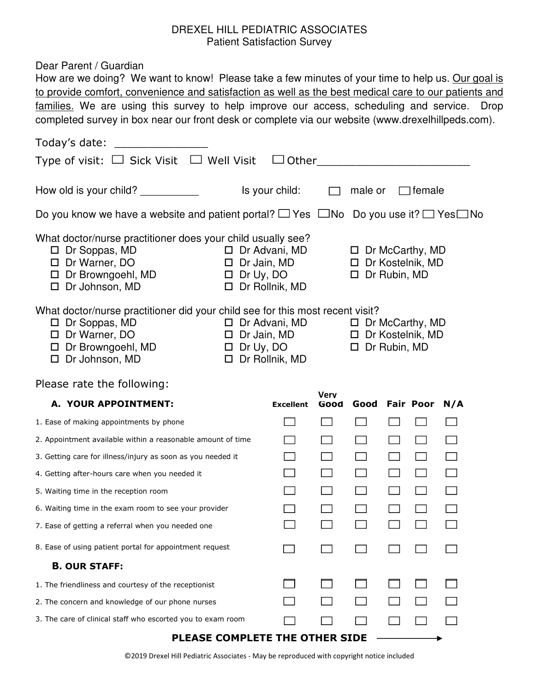## DREXEL HILL PEDIATRIC ASSOCIATES Patient Satisfaction Survey

Dear Parent / Guardian

|                  |                                                                                                                                                                                                                                            | $\Box$ female                                                            |                                                                                       |                        |     |                                                                                                                                                                                                                                                                                                                                                                                                                                                                                                                                                                                                                                                     |
|------------------|--------------------------------------------------------------------------------------------------------------------------------------------------------------------------------------------------------------------------------------------|--------------------------------------------------------------------------|---------------------------------------------------------------------------------------|------------------------|-----|-----------------------------------------------------------------------------------------------------------------------------------------------------------------------------------------------------------------------------------------------------------------------------------------------------------------------------------------------------------------------------------------------------------------------------------------------------------------------------------------------------------------------------------------------------------------------------------------------------------------------------------------------------|
|                  |                                                                                                                                                                                                                                            |                                                                          |                                                                                       |                        |     |                                                                                                                                                                                                                                                                                                                                                                                                                                                                                                                                                                                                                                                     |
|                  |                                                                                                                                                                                                                                            | $\Box$ Dr McCarthy, MD<br>$\Box$ Dr Kostelnik, MD<br>$\Box$ Dr Rubin, MD |                                                                                       |                        |     |                                                                                                                                                                                                                                                                                                                                                                                                                                                                                                                                                                                                                                                     |
|                  | $\Box$ Dr Kostelnik, MD<br>$\Box$ Dr Rubin, MD                                                                                                                                                                                             |                                                                          |                                                                                       |                        |     |                                                                                                                                                                                                                                                                                                                                                                                                                                                                                                                                                                                                                                                     |
|                  |                                                                                                                                                                                                                                            |                                                                          |                                                                                       |                        |     |                                                                                                                                                                                                                                                                                                                                                                                                                                                                                                                                                                                                                                                     |
| <b>Excellent</b> |                                                                                                                                                                                                                                            |                                                                          |                                                                                       |                        | N/A |                                                                                                                                                                                                                                                                                                                                                                                                                                                                                                                                                                                                                                                     |
|                  |                                                                                                                                                                                                                                            |                                                                          |                                                                                       |                        |     |                                                                                                                                                                                                                                                                                                                                                                                                                                                                                                                                                                                                                                                     |
|                  |                                                                                                                                                                                                                                            |                                                                          |                                                                                       |                        |     |                                                                                                                                                                                                                                                                                                                                                                                                                                                                                                                                                                                                                                                     |
|                  |                                                                                                                                                                                                                                            |                                                                          |                                                                                       |                        |     |                                                                                                                                                                                                                                                                                                                                                                                                                                                                                                                                                                                                                                                     |
|                  |                                                                                                                                                                                                                                            |                                                                          |                                                                                       |                        |     |                                                                                                                                                                                                                                                                                                                                                                                                                                                                                                                                                                                                                                                     |
|                  |                                                                                                                                                                                                                                            |                                                                          |                                                                                       |                        |     |                                                                                                                                                                                                                                                                                                                                                                                                                                                                                                                                                                                                                                                     |
|                  |                                                                                                                                                                                                                                            |                                                                          |                                                                                       |                        |     |                                                                                                                                                                                                                                                                                                                                                                                                                                                                                                                                                                                                                                                     |
|                  |                                                                                                                                                                                                                                            |                                                                          |                                                                                       |                        |     |                                                                                                                                                                                                                                                                                                                                                                                                                                                                                                                                                                                                                                                     |
|                  |                                                                                                                                                                                                                                            |                                                                          |                                                                                       |                        |     |                                                                                                                                                                                                                                                                                                                                                                                                                                                                                                                                                                                                                                                     |
|                  |                                                                                                                                                                                                                                            |                                                                          |                                                                                       |                        |     |                                                                                                                                                                                                                                                                                                                                                                                                                                                                                                                                                                                                                                                     |
|                  |                                                                                                                                                                                                                                            |                                                                          |                                                                                       |                        |     |                                                                                                                                                                                                                                                                                                                                                                                                                                                                                                                                                                                                                                                     |
|                  |                                                                                                                                                                                                                                            |                                                                          |                                                                                       |                        |     |                                                                                                                                                                                                                                                                                                                                                                                                                                                                                                                                                                                                                                                     |
|                  |                                                                                                                                                                                                                                            |                                                                          |                                                                                       |                        |     |                                                                                                                                                                                                                                                                                                                                                                                                                                                                                                                                                                                                                                                     |
|                  | Type of visit: $\Box$ Sick Visit $\Box$ Well Visit<br>What doctor/nurse practitioner does your child usually see?<br>$\Box$ Dr Jain, MD<br>$\square$ Dr Uy, DO<br>$\Box$ Dr Rollnik, MD<br>$\square$ Dr Uy, DO<br>$\square$ Dr Rollnik, MD | Is your child:<br>$\Box$ Dr Advani, MD<br>$\Box$ Dr Jain, MD<br>Verv     | What doctor/nurse practitioner did your child see for this most recent visit?<br>Good | $\Box$ male or<br>Good |     | How are we doing? We want to know! Please take a few minutes of your time to help us. Our goal is<br>to provide comfort, convenience and satisfaction as well as the best medical care to our patients and<br>families. We are using this survey to help improve our access, scheduling and service. Drop<br>completed survey in box near our front desk or complete via our website (www.drexelhillpeds.com).<br>$\Box$ Other<br>Do you know we have a website and patient portal? $\Box$ Yes $\Box$ No Do you use it? $\Box$ Yes $\Box$ No<br>$\Box$ Dr Advani, MD $\Box$ Dr McCarthy, MD<br><b>Fair Poor</b><br>DI EASE COMDI ETE THE OTHED STDE |

PLEASE COMPLETE THE OTHER SIDE -

©2019 Drexel Hill Pediatric Associates - May be reproduced with copyright notice included